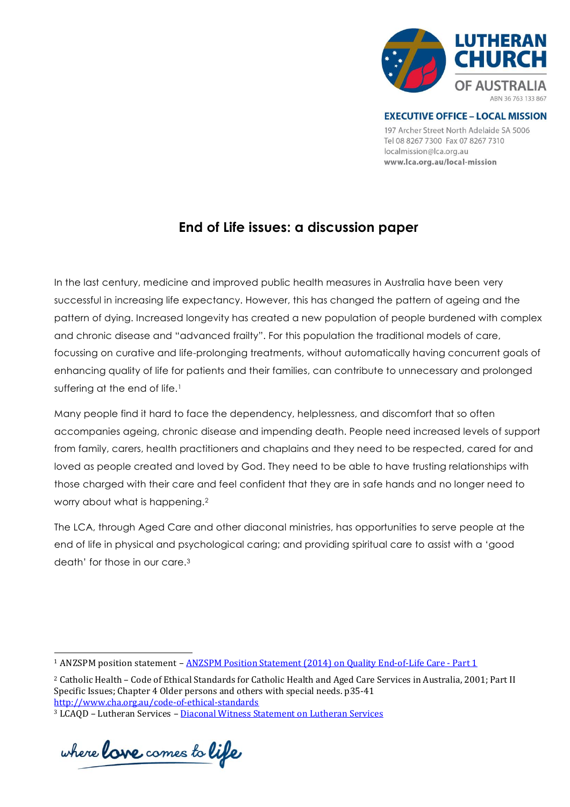

**EXECUTIVE OFFICE - LOCAL MISSION** 197 Archer Street North Adelaide SA 5006 Tel 08 8267 7300 Fax 07 8267 7310 localmission@lca.org.au www.lca.org.au/local-mission

# **End of Life issues: a discussion paper**

In the last century, medicine and improved public health measures in Australia have been very successful in increasing life expectancy. However, this has changed the pattern of ageing and the pattern of dying. Increased longevity has created a new population of people burdened with complex and chronic disease and "advanced frailty". For this population the traditional models of care, focussing on curative and life-prolonging treatments, without automatically having concurrent goals of enhancing quality of life for patients and their families, can contribute to unnecessary and prolonged suffering at the end of life.<sup>1</sup>

Many people find it hard to face the dependency, helplessness, and discomfort that so often accompanies ageing, chronic disease and impending death. People need increased levels of support from family, carers, health practitioners and chaplains and they need to be respected, cared for and loved as people created and loved by God. They need to be able to have trusting relationships with those charged with their care and feel confident that they are in safe hands and no longer need to worry about what is happening.<sup>2</sup>

The LCA, through Aged Care and other diaconal ministries, has opportunities to serve people at the end of life in physical and psychological caring; and providing spiritual care to assist with a 'good death' for those in our care.<sup>3</sup>

where **lave** comes to **life** 

l

<sup>&</sup>lt;sup>1</sup> ANZSPM position statement - [ANZSPM Position Statement \(2014\) on Quality End-of-Life Care -](http://www.anzspm.org.au/c/anzspm?a=sendfile&ft=p&fid=1393375205&sid=) Part 1

<sup>2</sup> Catholic Health – Code of Ethical Standards for Catholic Health and Aged Care Services in Australia, 2001; Part II Specific Issues; Chapter 4 Older persons and others with special needs. p35-41 <http://www.cha.org.au/code-of-ethical-standards>

<sup>&</sup>lt;sup>3</sup> LCAQD – Lutheran Services – [Diaconal Witness Statement on](https://lca.box.com/shared/static/r8l2iq39ff43jrem7w402kx8zulusffl.pdf) Lutheran Services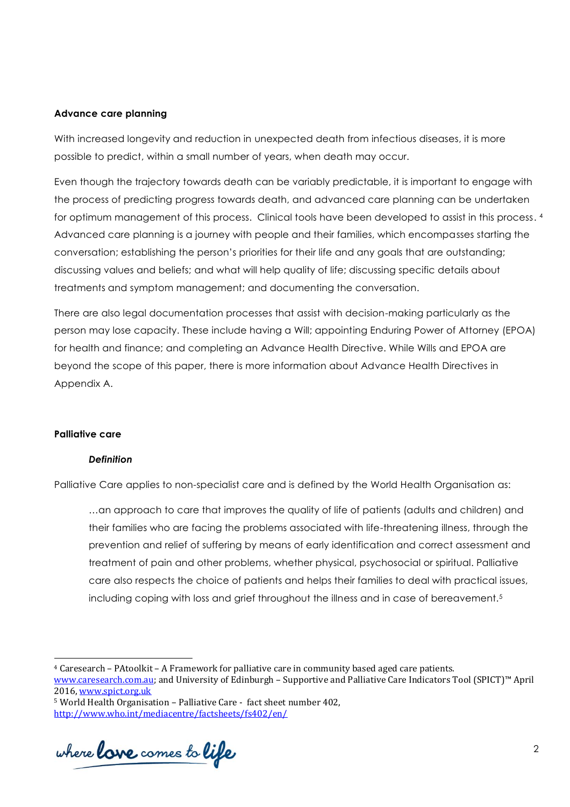### **Advance care planning**

With increased longevity and reduction in unexpected death from infectious diseases, it is more possible to predict, within a small number of years, when death may occur.

Even though the trajectory towards death can be variably predictable, it is important to engage with the process of predicting progress towards death, and advanced care planning can be undertaken for optimum management of this process. Clinical tools have been developed to assist in this process. 4 Advanced care planning is a journey with people and their families, which encompasses starting the conversation; establishing the person's priorities for their life and any goals that are outstanding; discussing values and beliefs; and what will help quality of life; discussing specific details about treatments and symptom management; and documenting the conversation.

There are also legal documentation processes that assist with decision-making particularly as the person may lose capacity. These include having a Will; appointing Enduring Power of Attorney (EPOA) for health and finance; and completing an Advance Health Directive. While Wills and EPOA are beyond the scope of this paper, there is more information about Advance Health Directives in Appendix A.

### **Palliative care**

l

#### *Definition*

Palliative Care applies to non-specialist care and is defined by the World Health Organisation as:

…an approach to care that improves the quality of life of patients (adults and children) and their families who are facing the problems associated with life-threatening illness, through the prevention and relief of suffering by means of early identification and correct assessment and treatment of pain and other problems, whether physical, psychosocial or spiritual. Palliative care also respects the choice of patients and helps their families to deal with practical issues, including coping with loss and grief throughout the illness and in case of bereavement.<sup>5</sup>

where **lave** comes to **life** 

<sup>4</sup> Caresearch – PAtoolkit – A Framework for palliative care in community based aged care patients. [www.caresearch.com.au;](http://www.caresearch.com.au/) and University of Edinburgh – Supportive and Palliative Care Indicators Tool (SPICT)™ April 2016, [www.spict.org.uk](http://www.spict.org.uk/)

<sup>5</sup> World Health Organisation – Palliative Care - fact sheet number 402, <http://www.who.int/mediacentre/factsheets/fs402/en/>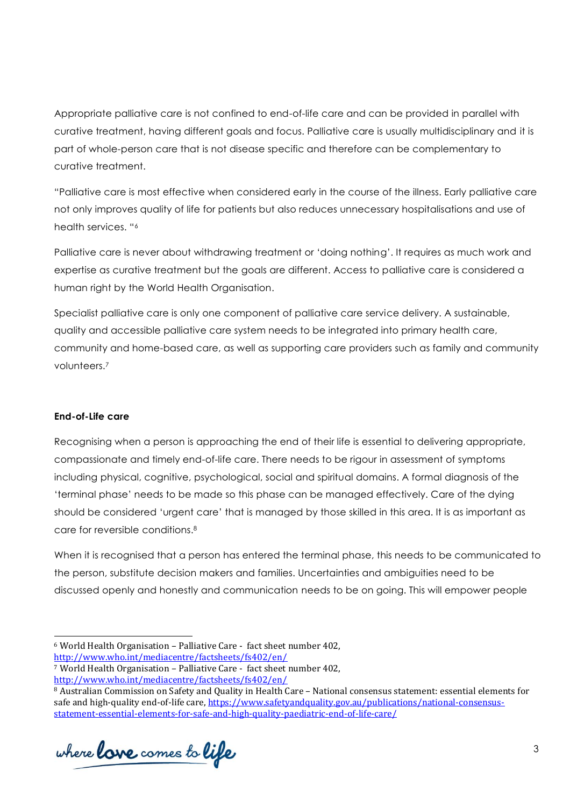Appropriate palliative care is not confined to end-of-life care and can be provided in parallel with curative treatment, having different goals and focus. Palliative care is usually multidisciplinary and it is part of whole-person care that is not disease specific and therefore can be complementary to curative treatment.

"Palliative care is most effective when considered early in the course of the illness. Early palliative care not only improves quality of life for patients but also reduces unnecessary hospitalisations and use of health services. "<sup>6</sup>

Palliative care is never about withdrawing treatment or 'doing nothing'. It requires as much work and expertise as curative treatment but the goals are different. Access to palliative care is considered a human right by the World Health Organisation.

Specialist palliative care is only one component of palliative care service delivery. A sustainable, quality and accessible palliative care system needs to be integrated into primary health care, community and home-based care, as well as supporting care providers such as family and community volunteers.<sup>7</sup>

# **End-of-Life care**

Recognising when a person is approaching the end of their life is essential to delivering appropriate, compassionate and timely end-of-life care. There needs to be rigour in assessment of symptoms including physical, cognitive, psychological, social and spiritual domains. A formal diagnosis of the 'terminal phase' needs to be made so this phase can be managed effectively. Care of the dying should be considered 'urgent care' that is managed by those skilled in this area. It is as important as care for reversible conditions.<sup>8</sup>

When it is recognised that a person has entered the terminal phase, this needs to be communicated to the person, substitute decision makers and families. Uncertainties and ambiguities need to be discussed openly and honestly and communication needs to be on going. This will empower people

<http://www.who.int/mediacentre/factsheets/fs402/en/>

where **lave** comes to **life** 

l <sup>6</sup> World Health Organisation – Palliative Care - fact sheet number 402,

<sup>7</sup> World Health Organisation – Palliative Care - fact sheet number 402,

<http://www.who.int/mediacentre/factsheets/fs402/en/>

<sup>8</sup> Australian Commission on Safety and Quality in Health Care – National consensus statement: essential elements for safe and high-quality end-of-life care[, https://www.safetyandquality.gov.au/publications/national-consensus](https://www.safetyandquality.gov.au/publications/national-consensus-statement-essential-elements-for-safe-and-high-quality-paediatric-end-of-life-care/)[statement-essential-elements-for-safe-and-high-quality-paediatric-end-of-life-care/](https://www.safetyandquality.gov.au/publications/national-consensus-statement-essential-elements-for-safe-and-high-quality-paediatric-end-of-life-care/)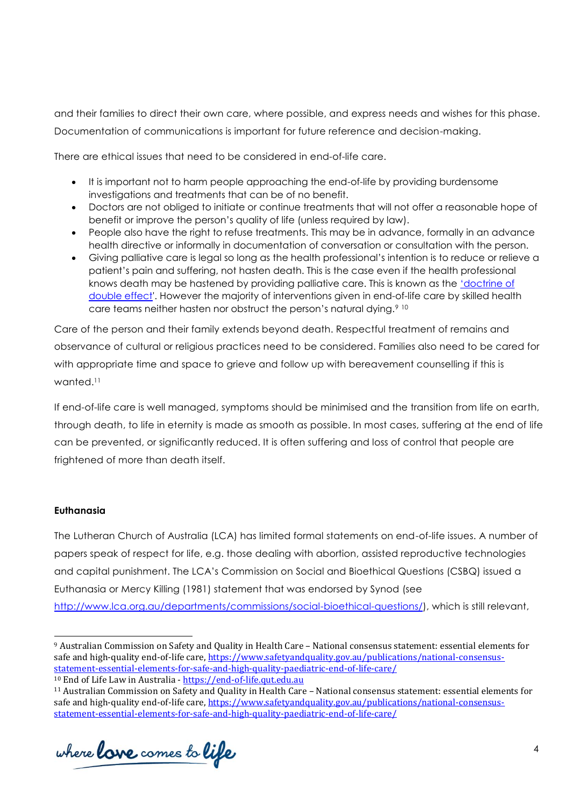and their families to direct their own care, where possible, and express needs and wishes for this phase. Documentation of communications is important for future reference and decision-making.

There are ethical issues that need to be considered in end-of-life care.

- It is important not to harm people approaching the end-of-life by providing burdensome investigations and treatments that can be of no benefit.
- Doctors are not obliged to initiate or continue treatments that will not offer a reasonable hope of benefit or improve the person's quality of life (unless required by law).
- People also have the right to refuse treatments. This may be in advance, formally in an advance health directive or informally in documentation of conversation or consultation with the person.
- Giving palliative care is legal so long as the health professional's intention is to reduce or relieve a patient's pain and suffering, not hasten death. This is the case even if the health professional knows death may be hastened by providing palliative care. This is known as the 'doctrine of [double effect'.](https://end-of-life.qut.edu.au/?a=548149#548149) However the majority of interventions given in end-of-life care by skilled health care teams neither hasten nor obstruct the person's natural dying.<sup>9 10</sup>

Care of the person and their family extends beyond death. Respectful treatment of remains and observance of cultural or religious practices need to be considered. Families also need to be cared for with appropriate time and space to grieve and follow up with bereavement counselling if this is wanted. 11

If end-of-life care is well managed, symptoms should be minimised and the transition from life on earth, through death, to life in eternity is made as smooth as possible. In most cases, suffering at the end of life can be prevented, or significantly reduced. It is often suffering and loss of control that people are frightened of more than death itself.

# **Euthanasia**

l

The Lutheran Church of Australia (LCA) has limited formal statements on end-of-life issues. A number of papers speak of respect for life, e.g. those dealing with abortion, assisted reproductive technologies and capital punishment. The LCA's Commission on Social and Bioethical Questions (CSBQ) issued a Euthanasia or Mercy Killing (1981) statement that was endorsed by Synod (see [http://www.lca.org.au/departments/commissions/social-bioethical-questions/\)](http://www.lca.org.au/departments/commissions/social-bioethical-questions/), which is still relevant,

where **lave** comes to **life** 

<sup>9</sup> Australian Commission on Safety and Quality in Health Care – National consensus statement: essential elements for safe and high-quality end-of-life care[, https://www.safetyandquality.gov.au/publications/national-consensus](https://www.safetyandquality.gov.au/publications/national-consensus-statement-essential-elements-for-safe-and-high-quality-paediatric-end-of-life-care/)[statement-essential-elements-for-safe-and-high-quality-paediatric-end-of-life-care/](https://www.safetyandquality.gov.au/publications/national-consensus-statement-essential-elements-for-safe-and-high-quality-paediatric-end-of-life-care/)

<sup>10</sup> End of Life Law in Australia - [https://end-of-life.qut.edu.au](https://end-of-life.qut.edu.au/)

<sup>11</sup> Australian Commission on Safety and Quality in Health Care – National consensus statement: essential elements for safe and high-quality end-of-life care[, https://www.safetyandquality.gov.au/publications/national-consensus](https://www.safetyandquality.gov.au/publications/national-consensus-statement-essential-elements-for-safe-and-high-quality-paediatric-end-of-life-care/)[statement-essential-elements-for-safe-and-high-quality-paediatric-end-of-life-care/](https://www.safetyandquality.gov.au/publications/national-consensus-statement-essential-elements-for-safe-and-high-quality-paediatric-end-of-life-care/)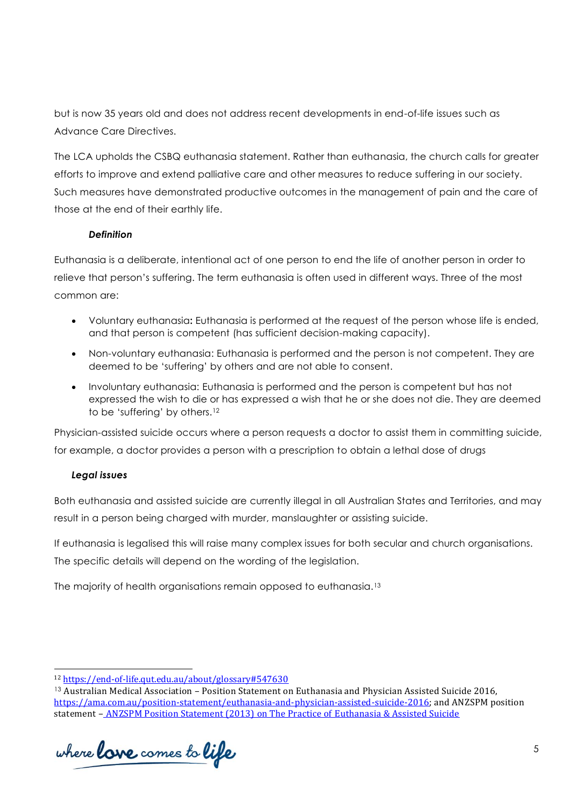but is now 35 years old and does not address recent developments in end-of-life issues such as Advance Care Directives.

The LCA upholds the CSBQ euthanasia statement. Rather than euthanasia, the church calls for greater efforts to improve and extend palliative care and other measures to reduce suffering in our society. Such measures have demonstrated productive outcomes in the management of pain and the care of those at the end of their earthly life.

# *Definition*

Euthanasia is a deliberate, intentional act of one person to end the life of another person in order to relieve that person's suffering. The term euthanasia is often used in different ways. Three of the most common are:

- Voluntary euthanasia**:** Euthanasia is performed at the request of the person whose life is ended, and that person is competent (has sufficient decision-making capacity).
- Non-voluntary euthanasia: Euthanasia is performed and the person is not competent. They are deemed to be 'suffering' by others and are not able to consent.
- Involuntary euthanasia: Euthanasia is performed and the person is competent but has not expressed the wish to die or has expressed a wish that he or she does not die. They are deemed to be 'suffering' by others.<sup>12</sup>

Physician-assisted suicide occurs where a person requests a doctor to assist them in committing suicide, for example, a doctor provides a person with a prescription to obtain a lethal dose of drugs

# *Legal issues*

l

Both euthanasia and assisted suicide are currently illegal in all Australian States and Territories, and may result in a person being charged with murder, manslaughter or assisting suicide.

If euthanasia is legalised this will raise many complex issues for both secular and church organisations. The specific details will depend on the wording of the legislation.

The majority of health organisations remain opposed to euthanasia.<sup>13</sup>

where **lave** comes to **life** 

<sup>12</sup> <https://end-of-life.qut.edu.au/about/glossary#547630>

<sup>13</sup> Australian Medical Association – Position Statement on Euthanasia and Physician Assisted Suicide 2016, [https://ama.com.au/position-statement/euthanasia-and-physician-assisted-suicide-2016;](https://ama.com.au/position-statement/euthanasia-and-physician-assisted-suicide-2016) and ANZSPM position statement – [ANZSPM Position Statement \(2013\) on The Practice of Euthanasia & Assisted Suicide](http://www.anzspm.org.au/c/anzspm?a=sendfile&ft=p&fid=1491523669&sid=)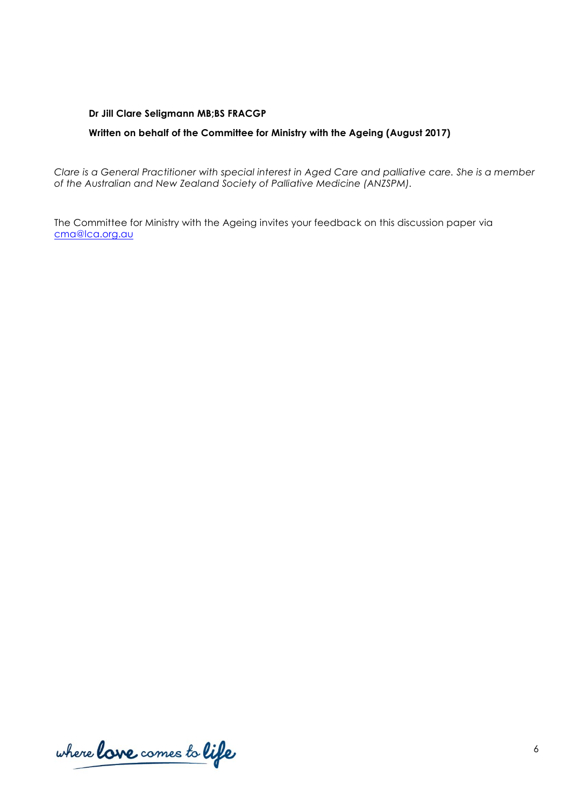### **Dr Jill Clare Seligmann MB;BS FRACGP**

# **Written on behalf of the Committee for Ministry with the Ageing (August 2017)**

*Clare is a General Practitioner with special interest in Aged Care and palliative care. She is a member of the Australian and New Zealand Society of Palliative Medicine (ANZSPM).*

The Committee for Ministry with the Ageing invites your feedback on this discussion paper via [cma@lca.org.au](mailto:cma@lca.org.au)

where love comes to life